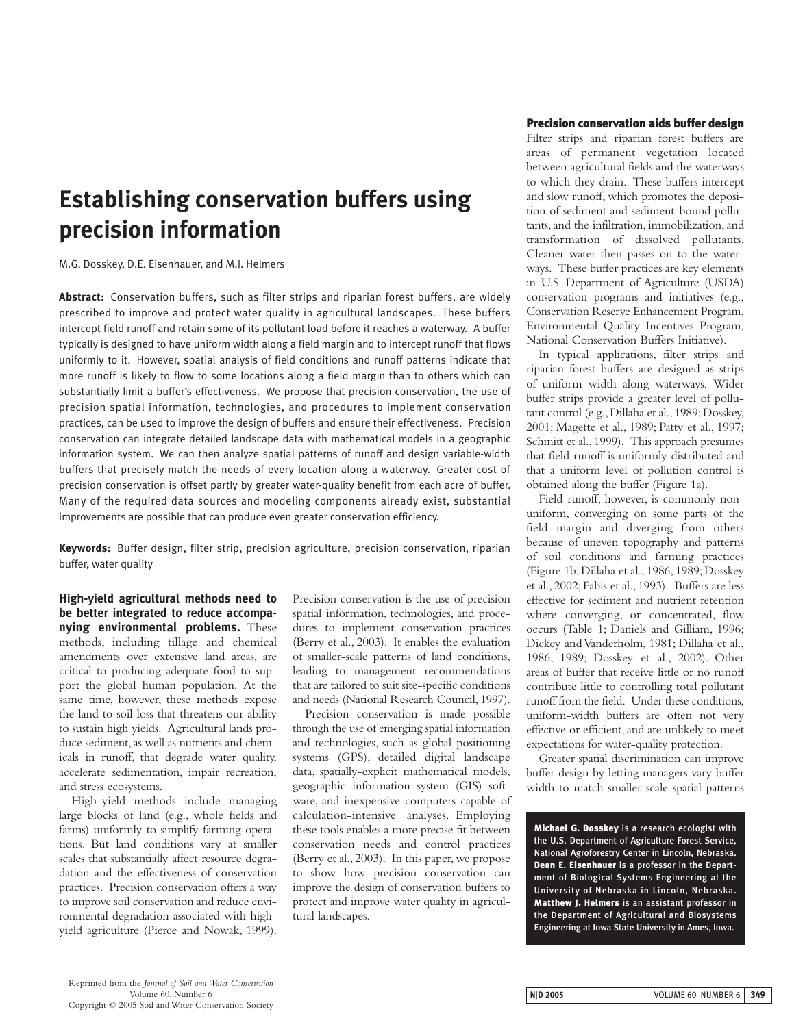# **Establishing conservation buffers using precision information**

M.G. Dosskey, D.E. Eisenhauer, and M.J. Helmers

**Abstract:** Conservation buffers, such as filter strips and riparian forest buffers, are widely prescribed to improve and protect water quality in agricultural landscapes. These buffers intercept field runoff and retain some of its pollutant load before it reaches a waterway. A buffer typically is designed to have uniform width along a field margin and to intercept runoff that flows uniformly to it. However, spatial analysis of field conditions and runoff patterns indicate that more runoff is likely to flow to some locations along a field margin than to others which can substantially limit a buffer's effectiveness. We propose that precision conservation, the use of precision spatial information, technologies, and procedures to implement conservation practices, can be used to improve the design of buffers and ensure their effectiveness. Precision conservation can integrate detailed landscape data with mathematical models in a geographic information system. We can then analyze spatial patterns of runoff and design variable-width buffers that precisely match the needs of every location along a waterway. Greater cost of precision conservation is offset partly by greater water-quality benefit from each acre of buffer. Many of the required data sources and modeling components already exist, substantial improvements are possible that can produce even greater conservation efficiency.

**Keywords:** Buffer design, filter strip, precision agriculture, precision conservation, riparian buffer, water quality

**High-yield agricultural methods need to be better integrated to reduce accompanying environmental problems.** These methods, including tillage and chemical amendments over extensive land areas, are critical to producing adequate food to support the global human population. At the same time, however, these methods expose the land to soil loss that threatens our ability to sustain high yields. Agricultural lands produce sediment, as well as nutrients and chemicals in runoff, that degrade water quality, accelerate sedimentation, impair recreation, and stress ecosystems.

High-yield methods include managing large blocks of land (e.g., whole fields and farms) uniformly to simplify farming operations. But land conditions vary at smaller scales that substantially affect resource degradation and the effectiveness of conservation practices. Precision conservation offers a way to improve soil conservation and reduce environmental degradation associated with highyield agriculture (Pierce and Nowak, 1999).

Precision conservation is the use of precision spatial information, technologies, and procedures to implement conservation practices (Berry et al., 2003). It enables the evaluation of smaller-scale patterns of land conditions, leading to management recommendations that are tailored to suit site-specific conditions and needs (National Research Council, 1997).

Precision conservation is made possible through the use of emerging spatial information and technologies, such as global positioning systems (GPS), detailed digital landscape data, spatially-explicit mathematical models, geographic information system (GIS) software, and inexpensive computers capable of calculation-intensive analyses. Employing these tools enables a more precise fit between conservation needs and control practices (Berry et al., 2003). In this paper, we propose to show how precision conservation can improve the design of conservation buffers to protect and improve water quality in agricultural landscapes.

## **Precision conservation aids buffer design**

Filter strips and riparian forest buffers are areas of permanent vegetation located between agricultural fields and the waterways to which they drain. These buffers intercept and slow runoff, which promotes the deposition of sediment and sediment-bound pollutants, and the infiltration, immobilization, and transformation of dissolved pollutants. Cleaner water then passes on to the waterways. These buffer practices are key elements in U.S. Department of Agriculture (USDA) conservation programs and initiatives (e.g., Conservation Reserve Enhancement Program, Environmental Quality Incentives Program, National Conservation Buffers Initiative).

In typical applications, filter strips and riparian forest buffers are designed as strips of uniform width along waterways. Wider buffer strips provide a greater level of pollutant control (e.g.,Dillaha et al.,1989;Dosskey, 2001; Magette et al., 1989; Patty et al., 1997; Schmitt et al.,1999). This approach presumes that field runoff is uniformly distributed and that a uniform level of pollution control is obtained along the buffer (Figure 1a).

Field runoff, however, is commonly nonuniform, converging on some parts of the field margin and diverging from others because of uneven topography and patterns of soil conditions and farming practices (Figure 1b; Dillaha et al., 1986, 1989; Dosskey et al.,2002;Fabis et al.,1993). Buffers are less effective for sediment and nutrient retention where converging, or concentrated, flow occurs (Table 1; Daniels and Gilliam, 1996; Dickey and Vanderholm, 1981; Dillaha et al., 1986, 1989; Dosskey et al., 2002). Other areas of buffer that receive little or no runoff contribute little to controlling total pollutant runoff from the field. Under these conditions, uniform-width buffers are often not very effective or efficient, and are unlikely to meet expectations for water-quality protection.

Greater spatial discrimination can improve buffer design by letting managers vary buffer width to match smaller-scale spatial patterns

**Michael G. Dosskey** is a research ecologist with the U.S. Department of Agriculture Forest Service, National Agroforestry Center in Lincoln, Nebraska. **Dean E. Eisenhauer** is a professor in the Department of Biological Systems Engineering at the University of Nebraska in Lincoln, Nebraska. **Matthew J. Helmers** is an assistant professor in the Department of Agricultural and Biosystems Engineering at Iowa State University in Ames, Iowa.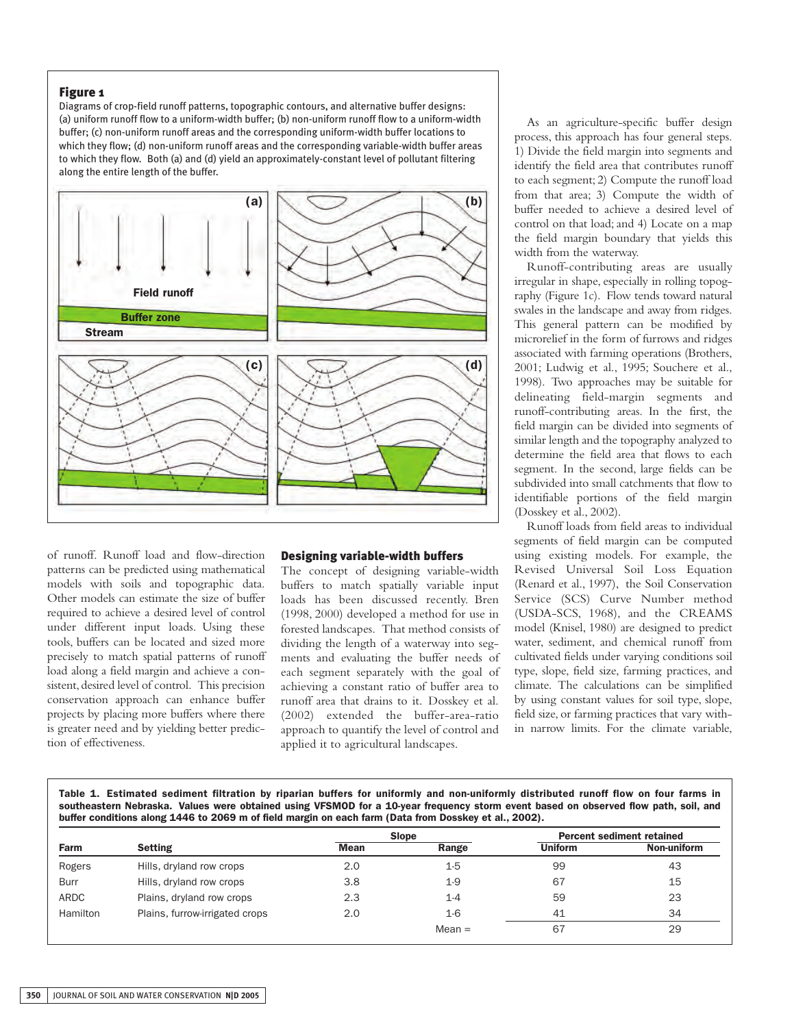## **Figure 1**

Diagrams of crop-field runoff patterns, topographic contours, and alternative buffer designs: (a) uniform runoff flow to a uniform-width buffer; (b) non-uniform runoff flow to a uniform-width buffer; (c) non-uniform runoff areas and the corresponding uniform-width buffer locations to which they flow; (d) non-uniform runoff areas and the corresponding variable-width buffer areas to which they flow. Both (a) and (d) yield an approximately-constant level of pollutant filtering along the entire length of the buffer.



of runoff. Runoff load and flow-direction patterns can be predicted using mathematical models with soils and topographic data. Other models can estimate the size of buffer required to achieve a desired level of control under different input loads. Using these tools, buffers can be located and sized more precisely to match spatial patterns of runoff load along a field margin and achieve a consistent, desired level of control. This precision conservation approach can enhance buffer projects by placing more buffers where there is greater need and by yielding better prediction of effectiveness.

#### **Designing variable-width buffers**

The concept of designing variable-width buffers to match spatially variable input loads has been discussed recently. Bren (1998, 2000) developed a method for use in forested landscapes. That method consists of dividing the length of a waterway into segments and evaluating the buffer needs of each segment separately with the goal of achieving a constant ratio of buffer area to runoff area that drains to it. Dosskey et al. (2002) extended the buffer-area-ratio approach to quantify the level of control and applied it to agricultural landscapes.

As an agriculture-specific buffer design process, this approach has four general steps. 1) Divide the field margin into segments and identify the field area that contributes runoff to each segment; 2) Compute the runoff load from that area; 3) Compute the width of buffer needed to achieve a desired level of control on that load; and 4) Locate on a map the field margin boundary that yields this width from the waterway.

Runoff-contributing areas are usually irregular in shape, especially in rolling topography (Figure 1c). Flow tends toward natural swales in the landscape and away from ridges. This general pattern can be modified by microrelief in the form of furrows and ridges associated with farming operations (Brothers, 2001; Ludwig et al., 1995; Souchere et al., 1998). Two approaches may be suitable for delineating field-margin segments and runoff-contributing areas. In the first, the field margin can be divided into segments of similar length and the topography analyzed to determine the field area that flows to each segment. In the second, large fields can be subdivided into small catchments that flow to identifiable portions of the field margin (Dosskey et al., 2002).

Runoff loads from field areas to individual segments of field margin can be computed using existing models. For example, the Revised Universal Soil Loss Equation (Renard et al., 1997), the Soil Conservation Service (SCS) Curve Number method (USDA-SCS, 1968), and the CREAMS model (Knisel, 1980) are designed to predict water, sediment, and chemical runoff from cultivated fields under varying conditions soil type, slope, field size, farming practices, and climate. The calculations can be simplified by using constant values for soil type, slope, field size, or farming practices that vary within narrow limits. For the climate variable,

**Table 1. Estimated sediment filtration by riparian buffers for uniformly and non-uniformly distributed runoff flow on four farms in southeastern Nebraska. Values were obtained using VFSMOD for a 10-year frequency storm event based on observed flow path, soil, and buffer conditions along 1446 to 2069 m of field margin on each farm (Data from Dosskey et al., 2002).**

|                 |                                | <b>Slope</b> |          | <b>Percent sediment retained</b> |             |
|-----------------|--------------------------------|--------------|----------|----------------------------------|-------------|
| Farm            | <b>Setting</b>                 | <b>Mean</b>  | Range    | <b>Uniform</b>                   | Non-uniform |
| Rogers          | Hills, dryland row crops       | 2.0          | $1-5$    | 99                               | 43          |
| Burr            | Hills, dryland row crops       | 3.8          | $1-9$    | 67                               | 15          |
| ARDC            | Plains, dryland row crops      | 2.3          | $1 - 4$  | 59                               | 23          |
| <b>Hamilton</b> | Plains, furrow-irrigated crops | 2.0          | $1-6$    | 41                               | 34          |
|                 |                                |              | $Mean =$ | 67                               | 29          |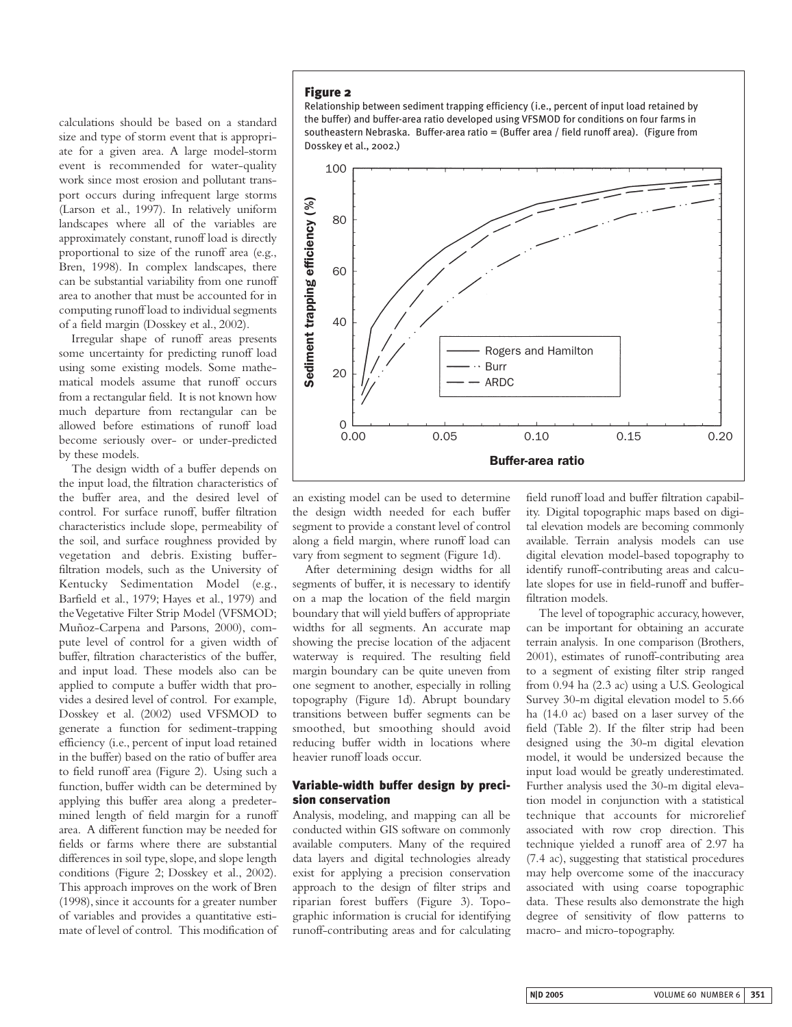calculations should be based on a standard size and type of storm event that is appropriate for a given area. A large model-storm event is recommended for water-quality work since most erosion and pollutant transport occurs during infrequent large storms (Larson et al., 1997). In relatively uniform landscapes where all of the variables are approximately constant, runoff load is directly proportional to size of the runoff area (e.g., Bren, 1998). In complex landscapes, there can be substantial variability from one runoff area to another that must be accounted for in computing runoff load to individual segments of a field margin (Dosskey et al., 2002).

Irregular shape of runoff areas presents some uncertainty for predicting runoff load using some existing models. Some mathematical models assume that runoff occurs from a rectangular field. It is not known how much departure from rectangular can be allowed before estimations of runoff load become seriously over- or under-predicted by these models.

The design width of a buffer depends on the input load, the filtration characteristics of the buffer area, and the desired level of control. For surface runoff, buffer filtration characteristics include slope, permeability of the soil, and surface roughness provided by vegetation and debris. Existing bufferfiltration models, such as the University of Kentucky Sedimentation Model (e.g., Barfield et al., 1979; Hayes et al., 1979) and the Vegetative Filter Strip Model (VFSMOD; Muñoz-Carpena and Parsons, 2000), compute level of control for a given width of buffer, filtration characteristics of the buffer, and input load. These models also can be applied to compute a buffer width that provides a desired level of control. For example, Dosskey et al. (2002) used VFSMOD to generate a function for sediment-trapping efficiency (i.e., percent of input load retained in the buffer) based on the ratio of buffer area to field runoff area (Figure 2). Using such a function, buffer width can be determined by applying this buffer area along a predetermined length of field margin for a runoff area. A different function may be needed for fields or farms where there are substantial differences in soil type, slope, and slope length conditions (Figure 2; Dosskey et al., 2002). This approach improves on the work of Bren (1998), since it accounts for a greater number of variables and provides a quantitative estimate of level of control. This modification of

# **Figure 2**

Relationship between sediment trapping efficiency (i.e., percent of input load retained by the buffer) and buffer-area ratio developed using VFSMOD for conditions on four farms in southeastern Nebraska. Buffer-area ratio = (Buffer area / field runoff area). (Figure from Dosskey et al., 2002.)



an existing model can be used to determine the design width needed for each buffer segment to provide a constant level of control along a field margin, where runoff load can vary from segment to segment (Figure 1d).

After determining design widths for all segments of buffer, it is necessary to identify on a map the location of the field margin boundary that will yield buffers of appropriate widths for all segments. An accurate map showing the precise location of the adjacent waterway is required. The resulting field margin boundary can be quite uneven from one segment to another, especially in rolling topography (Figure 1d). Abrupt boundary transitions between buffer segments can be smoothed, but smoothing should avoid reducing buffer width in locations where heavier runoff loads occur.

# **Variable-width buffer design by precision conservation**

Analysis, modeling, and mapping can all be conducted within GIS software on commonly available computers. Many of the required data layers and digital technologies already exist for applying a precision conservation approach to the design of filter strips and riparian forest buffers (Figure 3). Topographic information is crucial for identifying runoff-contributing areas and for calculating field runoff load and buffer filtration capability. Digital topographic maps based on digital elevation models are becoming commonly available. Terrain analysis models can use digital elevation model-based topography to identify runoff-contributing areas and calculate slopes for use in field-runoff and bufferfiltration models.

The level of topographic accuracy, however, can be important for obtaining an accurate terrain analysis. In one comparison (Brothers, 2001), estimates of runoff-contributing area to a segment of existing filter strip ranged from 0.94 ha (2.3 ac) using a U.S. Geological Survey 30-m digital elevation model to 5.66 ha (14.0 ac) based on a laser survey of the field (Table 2). If the filter strip had been designed using the 30-m digital elevation model, it would be undersized because the input load would be greatly underestimated. Further analysis used the 30-m digital elevation model in conjunction with a statistical technique that accounts for microrelief associated with row crop direction. This technique yielded a runoff area of 2.97 ha (7.4 ac), suggesting that statistical procedures may help overcome some of the inaccuracy associated with using coarse topographic data. These results also demonstrate the high degree of sensitivity of flow patterns to macro- and micro-topography.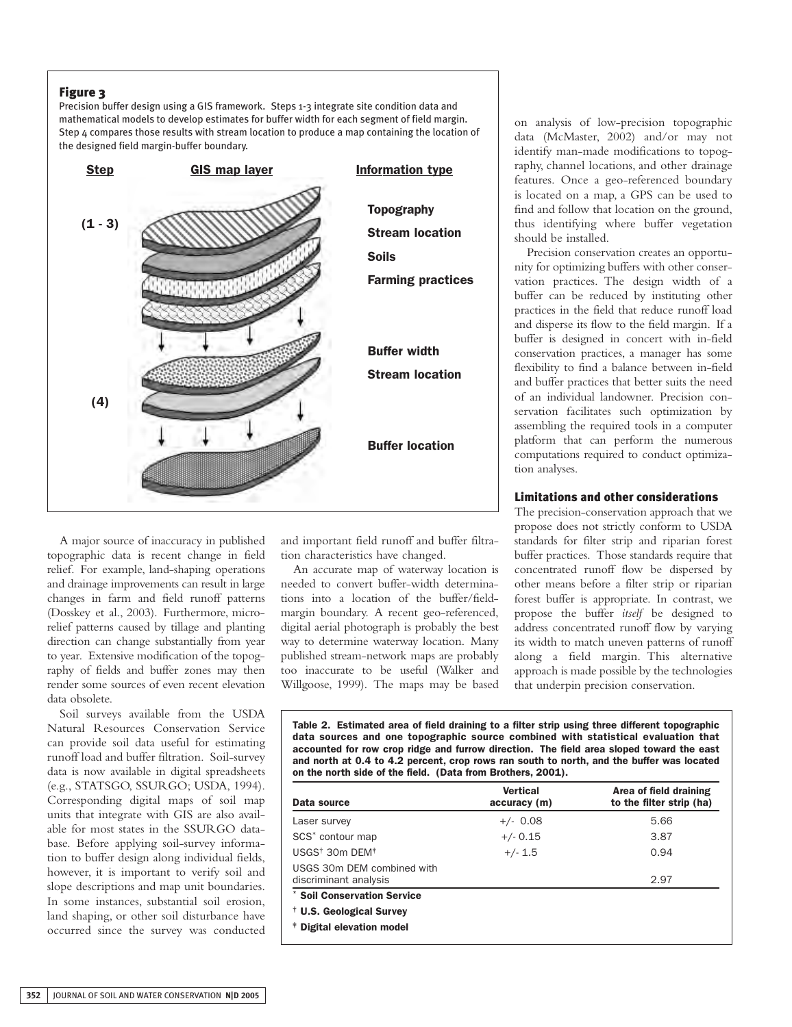# **Figure 3**

Precision buffer design using a GIS framework. Steps 1-3 integrate site condition data and mathematical models to develop estimates for buffer width for each segment of field margin. Step 4 compares those results with stream location to produce a map containing the location of the designed field margin-buffer boundary.



A major source of inaccuracy in published topographic data is recent change in field relief. For example, land-shaping operations and drainage improvements can result in large changes in farm and field runoff patterns (Dosskey et al., 2003). Furthermore, microrelief patterns caused by tillage and planting direction can change substantially from year to year. Extensive modification of the topography of fields and buffer zones may then render some sources of even recent elevation data obsolete.

Soil surveys available from the USDA Natural Resources Conservation Service can provide soil data useful for estimating runoff load and buffer filtration. Soil-survey data is now available in digital spreadsheets (e.g., STATSGO, SSURGO; USDA, 1994). Corresponding digital maps of soil map units that integrate with GIS are also available for most states in the SSURGO database. Before applying soil-survey information to buffer design along individual fields, however, it is important to verify soil and slope descriptions and map unit boundaries. In some instances, substantial soil erosion, land shaping, or other soil disturbance have occurred since the survey was conducted and important field runoff and buffer filtration characteristics have changed.

An accurate map of waterway location is needed to convert buffer-width determinations into a location of the buffer/fieldmargin boundary. A recent geo-referenced, digital aerial photograph is probably the best way to determine waterway location. Many published stream-network maps are probably too inaccurate to be useful (Walker and Willgoose, 1999). The maps may be based

on analysis of low-precision topographic data (McMaster, 2002) and/or may not identify man-made modifications to topography, channel locations, and other drainage features. Once a geo-referenced boundary is located on a map, a GPS can be used to find and follow that location on the ground, thus identifying where buffer vegetation should be installed.

Precision conservation creates an opportunity for optimizing buffers with other conservation practices. The design width of a buffer can be reduced by instituting other practices in the field that reduce runoff load and disperse its flow to the field margin. If a buffer is designed in concert with in-field conservation practices, a manager has some flexibility to find a balance between in-field and buffer practices that better suits the need of an individual landowner. Precision conservation facilitates such optimization by assembling the required tools in a computer platform that can perform the numerous computations required to conduct optimization analyses.

## **Limitations and other considerations**

The precision-conservation approach that we propose does not strictly conform to USDA standards for filter strip and riparian forest buffer practices. Those standards require that concentrated runoff flow be dispersed by other means before a filter strip or riparian forest buffer is appropriate. In contrast, we propose the buffer *itself* be designed to address concentrated runoff flow by varying its width to match uneven patterns of runoff along a field margin. This alternative approach is made possible by the technologies that underpin precision conservation.

**Table 2. Estimated area of field draining to a filter strip using three different topographic data sources and one topographic source combined with statistical evaluation that accounted for row crop ridge and furrow direction. The field area sloped toward the east and north at 0.4 to 4.2 percent, crop rows ran south to north, and the buffer was located on the north side of the field. (Data from Brothers, 2001).**

| Data source                                         | <b>Vertical</b><br>accuracy (m) | Area of field draining<br>to the filter strip (ha) |
|-----------------------------------------------------|---------------------------------|----------------------------------------------------|
| Laser survey                                        | $+/- 0.08$                      | 5.66                                               |
| SCS <sup>*</sup> contour map                        | $+/- 0.15$                      | 3.87                                               |
| $USGS^{\dagger}$ 30m DEM $^*$                       | $+/- 1.5$                       | 0.94                                               |
| USGS 30m DEM combined with<br>discriminant analysis |                                 | 2.97                                               |
| * Soil Conservation Service                         |                                 |                                                    |
| <sup>†</sup> U.S. Geological Survey                 |                                 |                                                    |
| <sup>†</sup> Digital elevation model                |                                 |                                                    |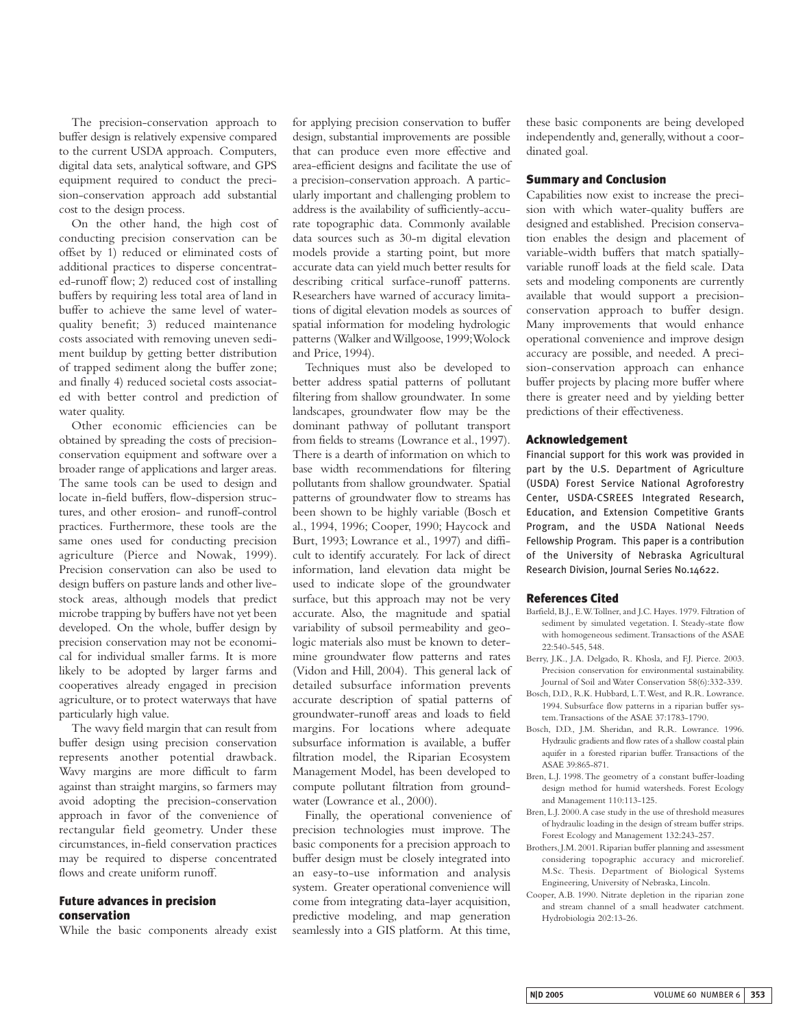The precision-conservation approach to buffer design is relatively expensive compared to the current USDA approach. Computers, digital data sets, analytical software, and GPS equipment required to conduct the precision-conservation approach add substantial cost to the design process.

On the other hand, the high cost of conducting precision conservation can be offset by 1) reduced or eliminated costs of additional practices to disperse concentrated-runoff flow; 2) reduced cost of installing buffers by requiring less total area of land in buffer to achieve the same level of waterquality benefit; 3) reduced maintenance costs associated with removing uneven sediment buildup by getting better distribution of trapped sediment along the buffer zone; and finally 4) reduced societal costs associated with better control and prediction of water quality.

Other economic efficiencies can be obtained by spreading the costs of precisionconservation equipment and software over a broader range of applications and larger areas. The same tools can be used to design and locate in-field buffers, flow-dispersion structures, and other erosion- and runoff-control practices. Furthermore, these tools are the same ones used for conducting precision agriculture (Pierce and Nowak, 1999). Precision conservation can also be used to design buffers on pasture lands and other livestock areas, although models that predict microbe trapping by buffers have not yet been developed. On the whole, buffer design by precision conservation may not be economical for individual smaller farms. It is more likely to be adopted by larger farms and cooperatives already engaged in precision agriculture, or to protect waterways that have particularly high value.

The wavy field margin that can result from buffer design using precision conservation represents another potential drawback. Wavy margins are more difficult to farm against than straight margins, so farmers may avoid adopting the precision-conservation approach in favor of the convenience of rectangular field geometry. Under these circumstances, in-field conservation practices may be required to disperse concentrated flows and create uniform runoff.

## **Future advances in precision conservation**

While the basic components already exist

for applying precision conservation to buffer design, substantial improvements are possible that can produce even more effective and area-efficient designs and facilitate the use of a precision-conservation approach. A particularly important and challenging problem to address is the availability of sufficiently-accurate topographic data. Commonly available data sources such as 30-m digital elevation models provide a starting point, but more accurate data can yield much better results for describing critical surface-runoff patterns. Researchers have warned of accuracy limitations of digital elevation models as sources of spatial information for modeling hydrologic patterns (Walker and Willgoose,1999;Wolock and Price, 1994).

Techniques must also be developed to better address spatial patterns of pollutant filtering from shallow groundwater. In some landscapes, groundwater flow may be the dominant pathway of pollutant transport from fields to streams (Lowrance et al., 1997). There is a dearth of information on which to base width recommendations for filtering pollutants from shallow groundwater. Spatial patterns of groundwater flow to streams has been shown to be highly variable (Bosch et al., 1994, 1996; Cooper, 1990; Haycock and Burt, 1993; Lowrance et al., 1997) and difficult to identify accurately. For lack of direct information, land elevation data might be used to indicate slope of the groundwater surface, but this approach may not be very accurate. Also, the magnitude and spatial variability of subsoil permeability and geologic materials also must be known to determine groundwater flow patterns and rates (Vidon and Hill, 2004). This general lack of detailed subsurface information prevents accurate description of spatial patterns of groundwater-runoff areas and loads to field margins. For locations where adequate subsurface information is available, a buffer filtration model, the Riparian Ecosystem Management Model, has been developed to compute pollutant filtration from groundwater (Lowrance et al., 2000).

Finally, the operational convenience of precision technologies must improve. The basic components for a precision approach to buffer design must be closely integrated into an easy-to-use information and analysis system. Greater operational convenience will come from integrating data-layer acquisition, predictive modeling, and map generation seamlessly into a GIS platform. At this time,

these basic components are being developed independently and, generally, without a coordinated goal.

## **Summary and Conclusion**

Capabilities now exist to increase the precision with which water-quality buffers are designed and established. Precision conservation enables the design and placement of variable-width buffers that match spatiallyvariable runoff loads at the field scale. Data sets and modeling components are currently available that would support a precisionconservation approach to buffer design. Many improvements that would enhance operational convenience and improve design accuracy are possible, and needed. A precision-conservation approach can enhance buffer projects by placing more buffer where there is greater need and by yielding better predictions of their effectiveness.

#### **Acknowledgement**

Financial support for this work was provided in part by the U.S. Department of Agriculture (USDA) Forest Service National Agroforestry Center, USDA-CSREES Integrated Research, Education, and Extension Competitive Grants Program, and the USDA National Needs Fellowship Program. This paper is a contribution of the University of Nebraska Agricultural Research Division, Journal Series No.14622.

#### **References Cited**

- Barfield, B.J., E.W.Tollner, and J.C. Hayes. 1979. Filtration of sediment by simulated vegetation. I. Steady-state flow with homogeneous sediment.Transactions of the ASAE 22:540-545, 548.
- Berry, J.K., J.A. Delgado, R. Khosla, and F.J. Pierce. 2003. Precision conservation for environmental sustainability. Journal of Soil and Water Conservation 58(6):332-339.
- Bosch, D.D., R.K. Hubbard, L.T.West, and R.R. Lowrance. 1994. Subsurface flow patterns in a riparian buffer system.Transactions of the ASAE 37:1783-1790.
- Bosch, D.D., J.M. Sheridan, and R.R. Lowrance. 1996. Hydraulic gradients and flow rates of a shallow coastal plain aquifer in a forested riparian buffer. Transactions of the ASAE 39:865-871.
- Bren, L.J. 1998.The geometry of a constant buffer-loading design method for humid watersheds. Forest Ecology and Management 110:113-125.
- Bren, L.J. 2000.A case study in the use of threshold measures of hydraulic loading in the design of stream buffer strips. Forest Ecology and Management 132:243-257.
- Brothers,J.M. 2001. Riparian buffer planning and assessment considering topographic accuracy and microrelief. M.Sc. Thesis. Department of Biological Systems Engineering, University of Nebraska, Lincoln.
- Cooper, A.B. 1990. Nitrate depletion in the riparian zone and stream channel of a small headwater catchment. Hydrobiologia 202:13-26.